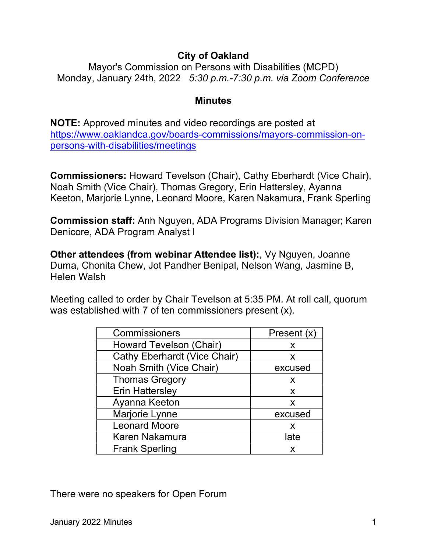## **City of Oakland**

Mayor's Commission on Persons with Disabilities (MCPD) Monday, January 24th, 2022 *5:30 p.m.-7:30 p.m. via Zoom Conference*

## **Minutes**

**NOTE:** Approved minutes and video recordings are posted at [https://www.oaklandca.gov/boards-commissions/mayors-commission-on](https://www.oaklandca.gov/boards-commissions/mayors-commission-on-persons-with-disabilities/meetings)[persons-with-disabilities/meetings](https://www.oaklandca.gov/boards-commissions/mayors-commission-on-persons-with-disabilities/meetings)

**Commissioners:** Howard Tevelson (Chair), Cathy Eberhardt (Vice Chair), Noah Smith (Vice Chair), Thomas Gregory, Erin Hattersley, Ayanna Keeton, Marjorie Lynne, Leonard Moore, Karen Nakamura, Frank Sperling

**Commission staff:** Anh Nguyen, ADA Programs Division Manager; Karen Denicore, ADA Program Analyst l

**Other attendees (from webinar Attendee list):**, Vy Nguyen, Joanne Duma, Chonita Chew, Jot Pandher Benipal, Nelson Wang, Jasmine B, Helen Walsh

Meeting called to order by Chair Tevelson at 5:35 PM. At roll call, quorum was established with 7 of ten commissioners present (x).

| Commissioners                       | Present $(x)$ |
|-------------------------------------|---------------|
| <b>Howard Tevelson (Chair)</b>      | X             |
| <b>Cathy Eberhardt (Vice Chair)</b> | X             |
| Noah Smith (Vice Chair)             | excused       |
| <b>Thomas Gregory</b>               | X             |
| <b>Erin Hattersley</b>              | X             |
| Ayanna Keeton                       | X             |
| Marjorie Lynne                      | excused       |
| <b>Leonard Moore</b>                | X             |
| <b>Karen Nakamura</b>               | late          |
| <b>Frank Sperling</b>               | x             |

There were no speakers for Open Forum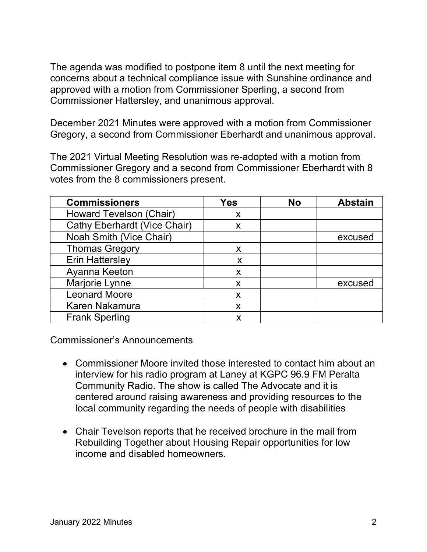The agenda was modified to postpone item 8 until the next meeting for concerns about a technical compliance issue with Sunshine ordinance and approved with a motion from Commissioner Sperling, a second from Commissioner Hattersley, and unanimous approval.

December 2021 Minutes were approved with a motion from Commissioner Gregory, a second from Commissioner Eberhardt and unanimous approval.

The 2021 Virtual Meeting Resolution was re-adopted with a motion from Commissioner Gregory and a second from Commissioner Eberhardt with 8 votes from the 8 commissioners present.

| <b>Commissioners</b>                | Yes | <b>No</b> | <b>Abstain</b> |
|-------------------------------------|-----|-----------|----------------|
| <b>Howard Tevelson (Chair)</b>      | X   |           |                |
| <b>Cathy Eberhardt (Vice Chair)</b> | X   |           |                |
| Noah Smith (Vice Chair)             |     |           | excused        |
| <b>Thomas Gregory</b>               | X   |           |                |
| <b>Erin Hattersley</b>              | X   |           |                |
| Ayanna Keeton                       | X   |           |                |
| Marjorie Lynne                      | X   |           | excused        |
| <b>Leonard Moore</b>                | X   |           |                |
| Karen Nakamura                      | X   |           |                |
| <b>Frank Sperling</b>               | Χ   |           |                |

Commissioner's Announcements

- Commissioner Moore invited those interested to contact him about an interview for his radio program at Laney at KGPC 96.9 FM Peralta Community Radio. The show is called The Advocate and it is centered around raising awareness and providing resources to the local community regarding the needs of people with disabilities
- Chair Tevelson reports that he received brochure in the mail from Rebuilding Together about Housing Repair opportunities for low income and disabled homeowners.